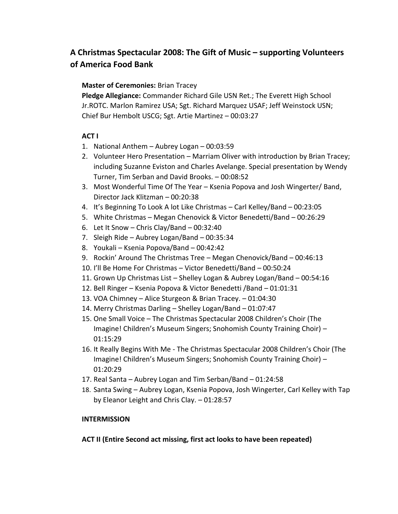## **A Christmas Spectacular 2008: The Gift of Music – supporting Volunteers of America Food Bank**

## **Master of Ceremonies:** Brian Tracey

**Pledge Allegiance:** Commander Richard Gile USN Ret.; The Everett High School Jr.ROTC. Marlon Ramirez USA; Sgt. Richard Marquez USAF; Jeff Weinstock USN; Chief Bur Hembolt USCG; Sgt. Artie Martinez – 00:03:27

## **ACT I**

- 1. National Anthem Aubrey Logan 00:03:59
- 2. Volunteer Hero Presentation Marriam Oliver with introduction by Brian Tracey; including Suzanne Eviston and Charles Avelange. Special presentation by Wendy Turner, Tim Serban and David Brooks. – 00:08:52
- 3. Most Wonderful Time Of The Year Ksenia Popova and Josh Wingerter/ Band, Director Jack Klitzman – 00:20:38
- 4. It's Beginning To Look A lot Like Christmas Carl Kelley/Band 00:23:05
- 5. White Christmas Megan Chenovick & Victor Benedetti/Band 00:26:29
- 6. Let It Snow Chris Clay/Band 00:32:40
- 7. Sleigh Ride Aubrey Logan/Band 00:35:34
- 8. Youkali Ksenia Popova/Band 00:42:42
- 9. Rockin' Around The Christmas Tree Megan Chenovick/Band 00:46:13
- 10. I'll Be Home For Christmas Victor Benedetti/Band 00:50:24
- 11. Grown Up Christmas List Shelley Logan & Aubrey Logan/Band 00:54:16
- 12. Bell Ringer Ksenia Popova & Victor Benedetti /Band 01:01:31
- 13. VOA Chimney Alice Sturgeon & Brian Tracey. 01:04:30
- 14. Merry Christmas Darling Shelley Logan/Band 01:07:47
- 15. One Small Voice The Christmas Spectacular 2008 Children's Choir (The Imagine! Children's Museum Singers; Snohomish County Training Choir) – 01:15:29
- 16. It Really Begins With Me The Christmas Spectacular 2008 Children's Choir (The Imagine! Children's Museum Singers; Snohomish County Training Choir) – 01:20:29
- 17. Real Santa Aubrey Logan and Tim Serban/Band 01:24:58
- 18. Santa Swing Aubrey Logan, Ksenia Popova, Josh Wingerter, Carl Kelley with Tap by Eleanor Leight and Chris Clay. – 01:28:57

## **INTERMISSION**

**ACT II (Entire Second act missing, first act looks to have been repeated)**